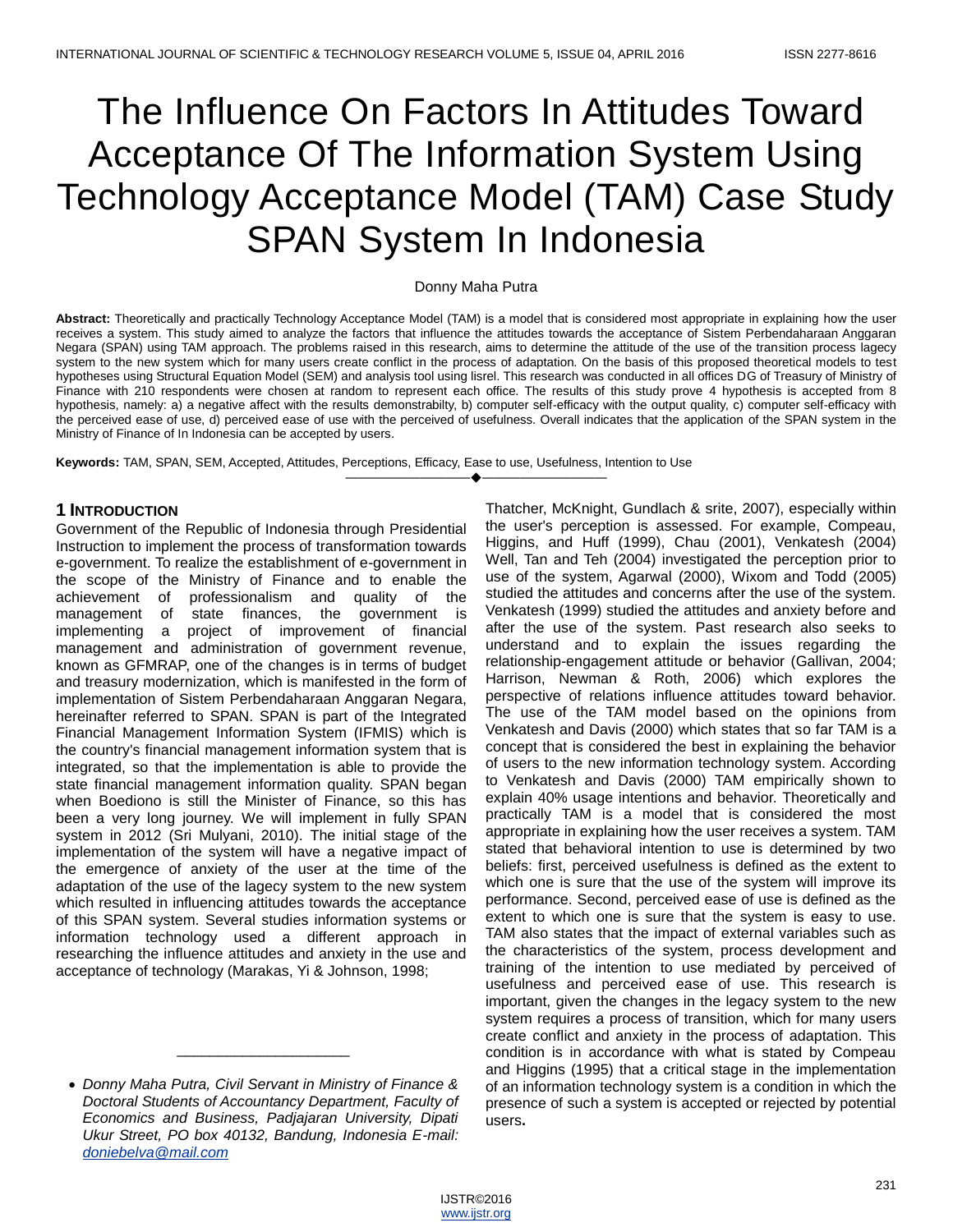# The Influence On Factors In Attitudes Toward Acceptance Of The Information System Using Technology Acceptance Model (TAM) Case Study SPAN System In Indonesia

#### Donny Maha Putra

**Abstract:** Theoretically and practically Technology Acceptance Model (TAM) is a model that is considered most appropriate in explaining how the user receives a system. This study aimed to analyze the factors that influence the attitudes towards the acceptance of Sistem Perbendaharaan Anggaran Negara (SPAN) using TAM approach. The problems raised in this research, aims to determine the attitude of the use of the transition process lagecy system to the new system which for many users create conflict in the process of adaptation. On the basis of this proposed theoretical models to test hypotheses using Structural Equation Model (SEM) and analysis tool using lisrel. This research was conducted in all offices DG of Treasury of Ministry of Finance with 210 respondents were chosen at random to represent each office. The results of this study prove 4 hypothesis is accepted from 8 hypothesis, namely: a) a negative affect with the results demonstrabilty, b) computer self-efficacy with the output quality, c) computer self-efficacy with the perceived ease of use, d) perceived ease of use with the perceived of usefulness. Overall indicates that the application of the SPAN system in the Ministry of Finance of In Indonesia can be accepted by users.

————————————————————

**Keywords:** TAM, SPAN, SEM, Accepted, Attitudes, Perceptions, Efficacy, Ease to use, Usefulness, Intention to Use

#### **1 INTRODUCTION**

Government of the Republic of Indonesia through Presidential Instruction to implement the process of transformation towards e-government. To realize the establishment of e-government in the scope of the Ministry of Finance and to enable the achievement of professionalism and quality of the management of state finances, the government is implementing a project of improvement of financial management and administration of government revenue, known as GFMRAP, one of the changes is in terms of budget and treasury modernization, which is manifested in the form of implementation of Sistem Perbendaharaan Anggaran Negara, hereinafter referred to SPAN. SPAN is part of the Integrated Financial Management Information System (IFMIS) which is the country's financial management information system that is integrated, so that the implementation is able to provide the state financial management information quality. SPAN began when Boediono is still the Minister of Finance, so this has been a very long journey. We will implement in fully SPAN system in 2012 (Sri Mulyani, 2010). The initial stage of the implementation of the system will have a negative impact of the emergence of anxiety of the user at the time of the adaptation of the use of the lagecy system to the new system which resulted in influencing attitudes towards the acceptance of this SPAN system. Several studies information systems or information technology used a different approach in researching the influence attitudes and anxiety in the use and acceptance of technology (Marakas, Yi & Johnson, 1998;

\_\_\_\_\_\_\_\_\_\_\_\_\_\_\_\_\_\_\_\_\_

Thatcher, McKnight, Gundlach & srite, 2007), especially within the user's perception is assessed. For example, Compeau, Higgins, and Huff (1999), Chau (2001), Venkatesh (2004) Well, Tan and Teh (2004) investigated the perception prior to use of the system, Agarwal (2000), Wixom and Todd (2005) studied the attitudes and concerns after the use of the system. Venkatesh (1999) studied the attitudes and anxiety before and after the use of the system. Past research also seeks to understand and to explain the issues regarding the relationship-engagement attitude or behavior (Gallivan, 2004; Harrison, Newman & Roth, 2006) which explores the perspective of relations influence attitudes toward behavior. The use of the TAM model based on the opinions from Venkatesh and Davis (2000) which states that so far TAM is a concept that is considered the best in explaining the behavior of users to the new information technology system. According to Venkatesh and Davis (2000) TAM empirically shown to explain 40% usage intentions and behavior. Theoretically and practically TAM is a model that is considered the most appropriate in explaining how the user receives a system. TAM stated that behavioral intention to use is determined by two beliefs: first, perceived usefulness is defined as the extent to which one is sure that the use of the system will improve its performance. Second, perceived ease of use is defined as the extent to which one is sure that the system is easy to use. TAM also states that the impact of external variables such as the characteristics of the system, process development and training of the intention to use mediated by perceived of usefulness and perceived ease of use. This research is important, given the changes in the legacy system to the new system requires a process of transition, which for many users create conflict and anxiety in the process of adaptation. This condition is in accordance with what is stated by Compeau and Higgins (1995) that a critical stage in the implementation of an information technology system is a condition in which the presence of such a system is accepted or rejected by potential users**.** 

*Donny Maha Putra, Civil Servant in Ministry of Finance & Doctoral Students of Accountancy Department, Faculty of Economics and Business, Padjajaran University, Dipati Ukur Street, PO box 40132, Bandung, Indonesia E-mail: [doniebelva@mail.com](mailto:doniebelva@mail.com)*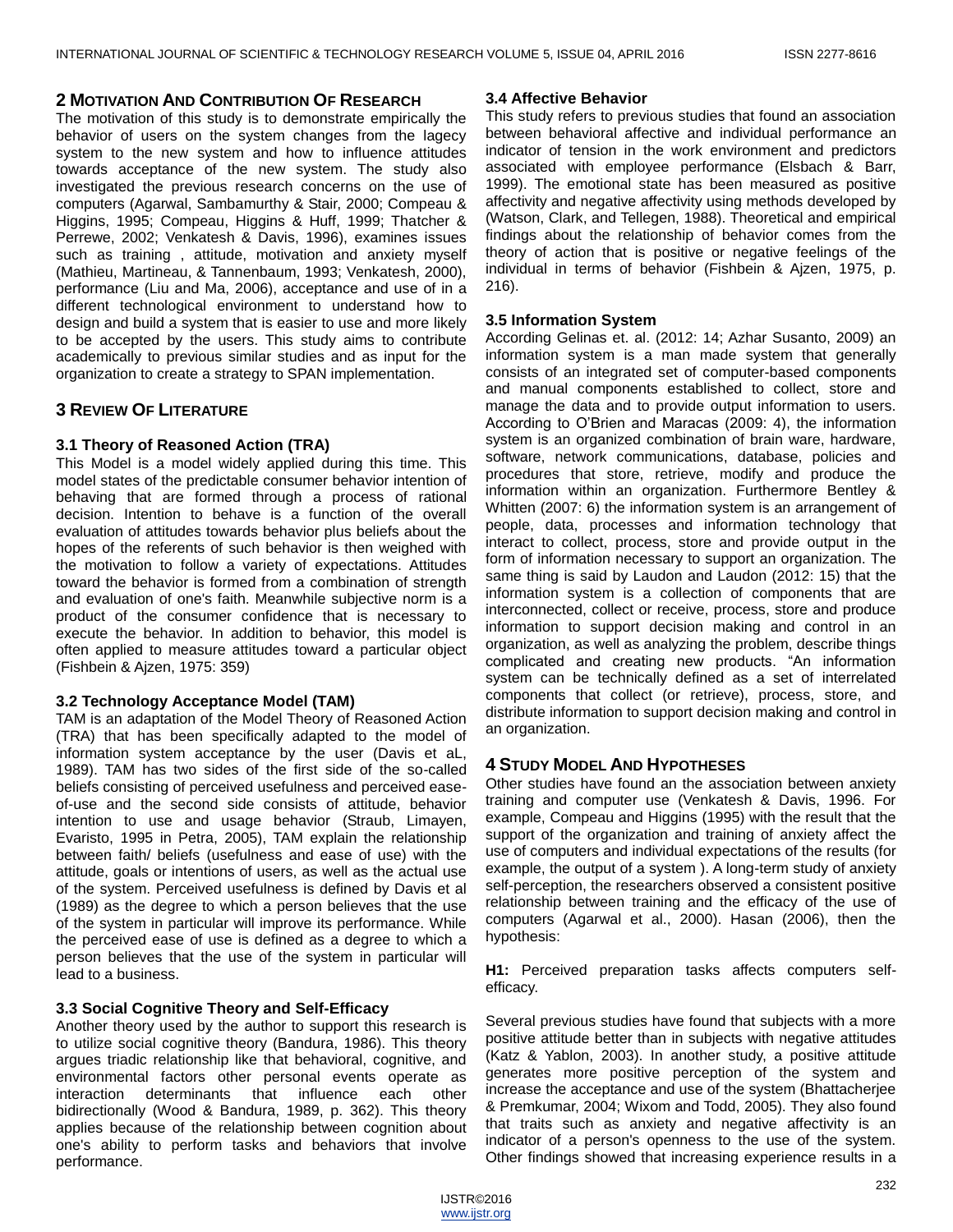#### **2 MOTIVATION AND CONTRIBUTION OF RESEARCH**

The motivation of this study is to demonstrate empirically the behavior of users on the system changes from the lagecy system to the new system and how to influence attitudes towards acceptance of the new system. The study also investigated the previous research concerns on the use of computers (Agarwal, Sambamurthy & Stair, 2000; Compeau & Higgins, 1995; Compeau, Higgins & Huff, 1999; Thatcher & Perrewe, 2002; Venkatesh & Davis, 1996), examines issues such as training , attitude, motivation and anxiety myself (Mathieu, Martineau, & Tannenbaum, 1993; Venkatesh, 2000), performance (Liu and Ma, 2006), acceptance and use of in a different technological environment to understand how to design and build a system that is easier to use and more likely to be accepted by the users. This study aims to contribute academically to previous similar studies and as input for the organization to create a strategy to SPAN implementation.

# **3 REVIEW OF LITERATURE**

# **3.1 Theory of Reasoned Action (TRA)**

This Model is a model widely applied during this time. This model states of the predictable consumer behavior intention of behaving that are formed through a process of rational decision. Intention to behave is a function of the overall evaluation of attitudes towards behavior plus beliefs about the hopes of the referents of such behavior is then weighed with the motivation to follow a variety of expectations. Attitudes toward the behavior is formed from a combination of strength and evaluation of one's faith. Meanwhile subjective norm is a product of the consumer confidence that is necessary to execute the behavior. In addition to behavior, this model is often applied to measure attitudes toward a particular object (Fishbein & Ajzen, 1975: 359)

# **3.2 Technology Acceptance Model (TAM)**

TAM is an adaptation of the Model Theory of Reasoned Action (TRA) that has been specifically adapted to the model of information system acceptance by the user (Davis et aL, 1989). TAM has two sides of the first side of the so-called beliefs consisting of perceived usefulness and perceived easeof-use and the second side consists of attitude, behavior intention to use and usage behavior (Straub, Limayen, Evaristo, 1995 in Petra, 2005), TAM explain the relationship between faith/ beliefs (usefulness and ease of use) with the attitude, goals or intentions of users, as well as the actual use of the system. Perceived usefulness is defined by Davis et al (1989) as the degree to which a person believes that the use of the system in particular will improve its performance. While the perceived ease of use is defined as a degree to which a person believes that the use of the system in particular will lead to a business.

# **3.3 Social Cognitive Theory and Self-Efficacy**

Another theory used by the author to support this research is to utilize social cognitive theory (Bandura, 1986). This theory argues triadic relationship like that behavioral, cognitive, and environmental factors other personal events operate as interaction determinants that influence each other bidirectionally (Wood & Bandura, 1989, p. 362). This theory applies because of the relationship between cognition about one's ability to perform tasks and behaviors that involve performance.

#### **3.4 Affective Behavior**

This study refers to previous studies that found an association between behavioral affective and individual performance an indicator of tension in the work environment and predictors associated with employee performance (Elsbach & Barr, 1999). The emotional state has been measured as positive affectivity and negative affectivity using methods developed by (Watson, Clark, and Tellegen, 1988). Theoretical and empirical findings about the relationship of behavior comes from the theory of action that is positive or negative feelings of the individual in terms of behavior (Fishbein & Ajzen, 1975, p. 216).

#### **3.5 Information System**

According Gelinas et. al. (2012: 14; Azhar Susanto, 2009) an information system is a man made system that generally consists of an integrated set of computer-based components and manual components established to collect, store and manage the data and to provide output information to users. According to O'Brien and Maracas (2009: 4), the information system is an organized combination of brain ware, hardware, software, network communications, database, policies and procedures that store, retrieve, modify and produce the information within an organization. Furthermore Bentley & Whitten (2007: 6) the information system is an arrangement of people, data, processes and information technology that interact to collect, process, store and provide output in the form of information necessary to support an organization. The same thing is said by Laudon and Laudon (2012: 15) that the information system is a collection of components that are interconnected, collect or receive, process, store and produce information to support decision making and control in an organization, as well as analyzing the problem, describe things complicated and creating new products. "An information system can be technically defined as a set of interrelated components that collect (or retrieve), process, store, and distribute information to support decision making and control in an organization.

# **4 STUDY MODEL AND HYPOTHESES**

Other studies have found an the association between anxiety training and computer use (Venkatesh & Davis, 1996. For example, Compeau and Higgins (1995) with the result that the support of the organization and training of anxiety affect the use of computers and individual expectations of the results (for example, the output of a system ). A long-term study of anxiety self-perception, the researchers observed a consistent positive relationship between training and the efficacy of the use of computers (Agarwal et al., 2000). Hasan (2006), then the hypothesis:

**H1:** Perceived preparation tasks affects computers selfefficacy.

Several previous studies have found that subjects with a more positive attitude better than in subjects with negative attitudes (Katz & Yablon, 2003). In another study, a positive attitude generates more positive perception of the system and increase the acceptance and use of the system (Bhattacherjee & Premkumar, 2004; Wixom and Todd, 2005). They also found that traits such as anxiety and negative affectivity is an indicator of a person's openness to the use of the system. Other findings showed that increasing experience results in a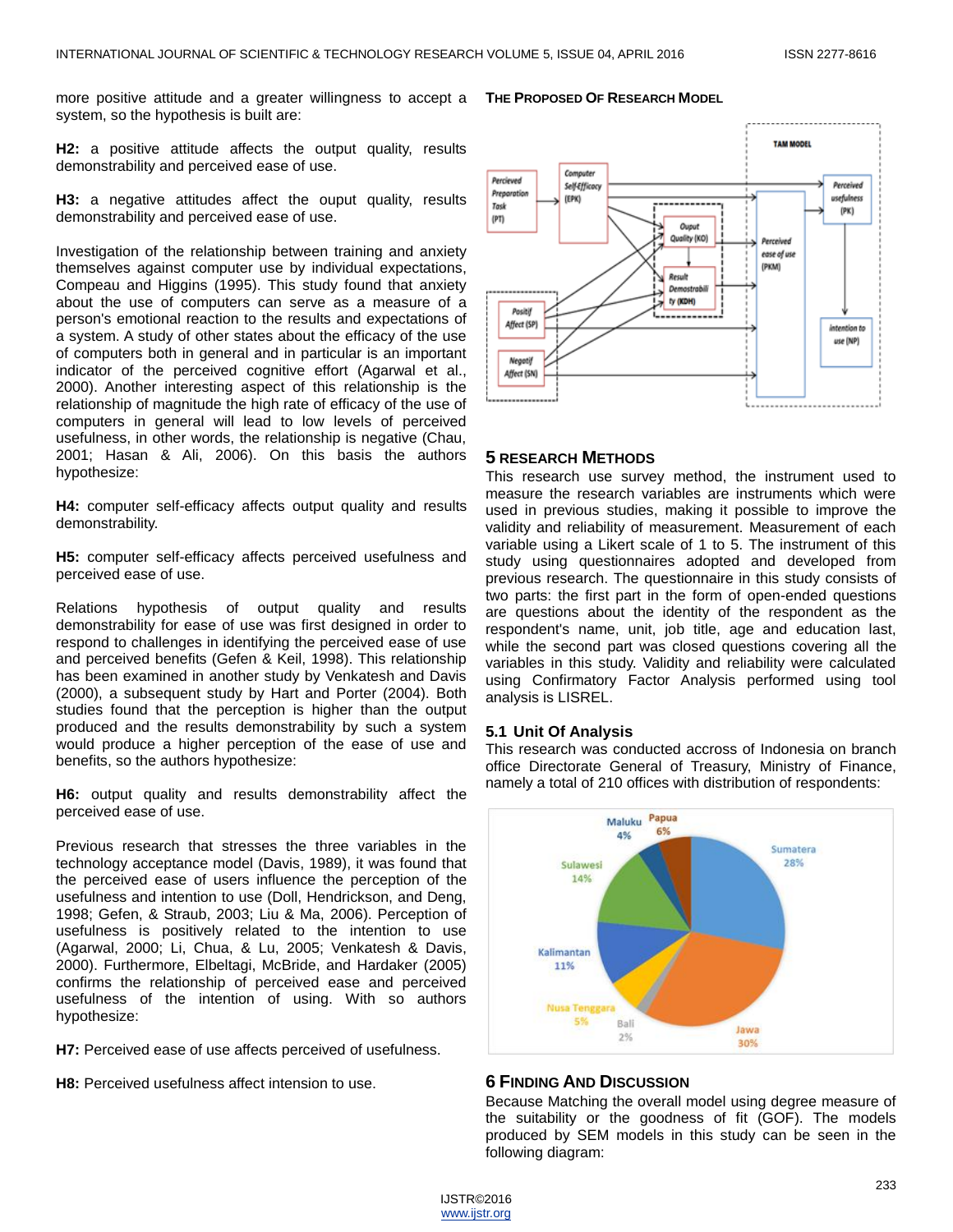more positive attitude and a greater willingness to accept a system, so the hypothesis is built are:

**H2:** a positive attitude affects the output quality, results demonstrability and perceived ease of use.

**H3:** a negative attitudes affect the ouput quality, results demonstrability and perceived ease of use.

Investigation of the relationship between training and anxiety themselves against computer use by individual expectations, Compeau and Higgins (1995). This study found that anxiety about the use of computers can serve as a measure of a person's emotional reaction to the results and expectations of a system. A study of other states about the efficacy of the use of computers both in general and in particular is an important indicator of the perceived cognitive effort (Agarwal et al., 2000). Another interesting aspect of this relationship is the relationship of magnitude the high rate of efficacy of the use of computers in general will lead to low levels of perceived usefulness, in other words, the relationship is negative (Chau, 2001; Hasan & Ali, 2006). On this basis the authors hypothesize:

**H4:** computer self-efficacy affects output quality and results demonstrability.

**H5:** computer self-efficacy affects perceived usefulness and perceived ease of use.

Relations hypothesis of output quality and results demonstrability for ease of use was first designed in order to respond to challenges in identifying the perceived ease of use and perceived benefits (Gefen & Keil, 1998). This relationship has been examined in another study by Venkatesh and Davis (2000), a subsequent study by Hart and Porter (2004). Both studies found that the perception is higher than the output produced and the results demonstrability by such a system would produce a higher perception of the ease of use and benefits, so the authors hypothesize:

**H6:** output quality and results demonstrability affect the perceived ease of use.

Previous research that stresses the three variables in the technology acceptance model (Davis, 1989), it was found that the perceived ease of users influence the perception of the usefulness and intention to use (Doll, Hendrickson, and Deng, 1998; Gefen, & Straub, 2003; Liu & Ma, 2006). Perception of usefulness is positively related to the intention to use (Agarwal, 2000; Li, Chua, & Lu, 2005; Venkatesh & Davis, 2000). Furthermore, Elbeltagi, McBride, and Hardaker (2005) confirms the relationship of perceived ease and perceived usefulness of the intention of using. With so authors hypothesize:

**H7:** Perceived ease of use affects perceived of usefulness.

**H8:** Perceived usefulness affect intension to use.



#### **5 RESEARCH METHODS**

This research use survey method, the instrument used to measure the research variables are instruments which were used in previous studies, making it possible to improve the validity and reliability of measurement. Measurement of each variable using a Likert scale of 1 to 5. The instrument of this study using questionnaires adopted and developed from previous research. The questionnaire in this study consists of two parts: the first part in the form of open-ended questions are questions about the identity of the respondent as the respondent's name, unit, job title, age and education last, while the second part was closed questions covering all the variables in this study. Validity and reliability were calculated using Confirmatory Factor Analysis performed using tool analysis is LISREL.

#### **5.1 Unit Of Analysis**

This research was conducted accross of Indonesia on branch office Directorate General of Treasury, Ministry of Finance, namely a total of 210 offices with distribution of respondents:



#### **6 FINDING AND DISCUSSION**

Because Matching the overall model using degree measure of the suitability or the goodness of fit (GOF). The models produced by SEM models in this study can be seen in the following diagram:

# **THE PROPOSED OF RESEARCH MODEL**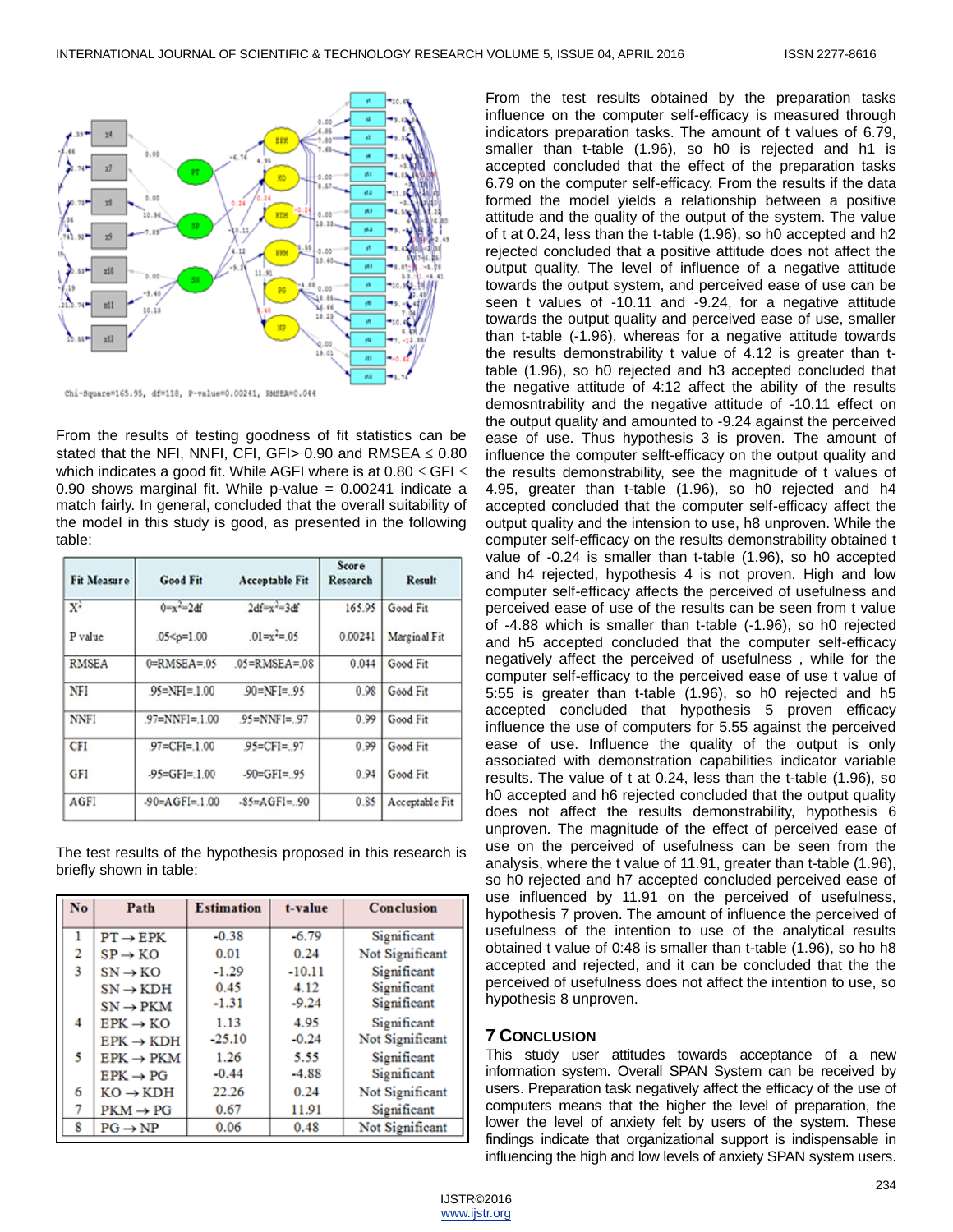

From the results of testing goodness of fit statistics can be stated that the NFI, NNFI, CFI, GFI > 0.90 and RMSEA  $\leq$  0.80 which indicates a good fit. While AGFI where is at  $0.80 \leq$  GFI  $\leq$ 0.90 shows marginal fit. While p-value  $= 0.00241$  indicate a match fairly. In general, concluded that the overall suitability of the model in this study is good, as presented in the following table:

| <b>Fit Measure</b> | <b>Good Fit</b>     | <b>Acceptable Fit</b>          | Score<br>Research | <b>Result</b>  |
|--------------------|---------------------|--------------------------------|-------------------|----------------|
| $X^2$              | $0 = x^2 = 2df$     | $2d$ fwy <sup>2</sup> =3 $d$ f | 165.95            | Good Fit       |
| P value            | $.05 < p=1.00$      | $.01=x^2=0.05$                 | 0.00241           | Marginal Fit   |
| <b>RMSEA</b>       | $0 = RMSEA = 05$    | $05 = RMSEA = 08$              | 0.044             | Good Fit       |
| NFI                | $95 = NFI = 1.00$   | $90 = NF = 95$                 | 0.98              | Good Fit       |
| <b>NNFI</b>        | $.97 = NNF1 = 1.00$ | $95=NNF = 97$                  | 0.99              | Good Fit       |
| <b>CFI</b>         | $.97 = CF = 1.00$   | $95=CF = 97$                   | 0.99              | Good Fit       |
| <b>GFI</b>         | $-95=GF=1.00$       | $-90=GFI=.95$                  | 0.94              | Good Fit       |
| AGFI               | $-90 = AGF = 1.00$  | $$5=AGFI=.90$                  | 0.85              | Acceptable Fit |
|                    |                     |                                |                   |                |

The test results of the hypothesis proposed in this research is briefly shown in table:

| No. | Path                  | <b>Estimation</b> | t-value  | Conclusion      |
|-----|-----------------------|-------------------|----------|-----------------|
| 1   | $PT \rightarrow EPK$  | $-0.38$           | $-6.79$  | Significant     |
| 2   | $SP \rightarrow KO$   | 0.01              | 0.24     | Not Significant |
| 3   | $SN \rightarrow KO$   | $-1.29$           | $-10.11$ | Significant     |
|     | $SN \rightarrow KDH$  | 0.45              | 4.12     | Significant     |
|     | $SN \rightarrow PKM$  | $-1.31$           | $-9.24$  | Significant     |
| 4   | $EPK \rightarrow KO$  | 1.13              | 4.95     | Significant     |
|     | $EPK \rightarrow KDH$ | $-25.10$          | $-0.24$  | Not Significant |
| 5   | $EPK \rightarrow PKM$ | 1.26              | 5.55     | Significant     |
|     | $EPK \rightarrow PG$  | $-0.44$           | $-4.88$  | Significant     |
| 6   | $KO \rightarrow KOH$  | 22.26             | 0.24     | Not Significant |
| 7   | $PKM \rightarrow PG$  | 0.67              | 11.91    | Significant     |
| 8   | $PG \rightarrow NP$   | 0.06              | 0.48     | Not Significant |

From the test results obtained by the preparation tasks influence on the computer self-efficacy is measured through indicators preparation tasks. The amount of t values of 6.79, smaller than t-table (1.96), so h0 is rejected and h1 is accepted concluded that the effect of the preparation tasks 6.79 on the computer self-efficacy. From the results if the data formed the model yields a relationship between a positive attitude and the quality of the output of the system. The value of t at 0.24, less than the t-table (1.96), so h0 accepted and h2 rejected concluded that a positive attitude does not affect the output quality. The level of influence of a negative attitude towards the output system, and perceived ease of use can be seen t values of -10.11 and -9.24, for a negative attitude towards the output quality and perceived ease of use, smaller than t-table (-1.96), whereas for a negative attitude towards the results demonstrability t value of 4.12 is greater than ttable (1.96), so h0 rejected and h3 accepted concluded that the negative attitude of 4:12 affect the ability of the results demosntrability and the negative attitude of -10.11 effect on the output quality and amounted to -9.24 against the perceived ease of use. Thus hypothesis 3 is proven. The amount of influence the computer selft-efficacy on the output quality and the results demonstrability, see the magnitude of t values of 4.95, greater than t-table (1.96), so h0 rejected and h4 accepted concluded that the computer self-efficacy affect the output quality and the intension to use, h8 unproven. While the computer self-efficacy on the results demonstrability obtained t value of -0.24 is smaller than t-table (1.96), so h0 accepted and h4 rejected, hypothesis 4 is not proven. High and low computer self-efficacy affects the perceived of usefulness and perceived ease of use of the results can be seen from t value of -4.88 which is smaller than t-table (-1.96), so h0 rejected and h5 accepted concluded that the computer self-efficacy negatively affect the perceived of usefulness , while for the computer self-efficacy to the perceived ease of use t value of 5:55 is greater than t-table (1.96), so h0 rejected and h5 accepted concluded that hypothesis 5 proven efficacy influence the use of computers for 5.55 against the perceived ease of use. Influence the quality of the output is only associated with demonstration capabilities indicator variable results. The value of t at 0.24, less than the t-table (1.96), so h0 accepted and h6 rejected concluded that the output quality does not affect the results demonstrability, hypothesis 6 unproven. The magnitude of the effect of perceived ease of use on the perceived of usefulness can be seen from the analysis, where the t value of 11.91, greater than t-table (1.96), so h0 rejected and h7 accepted concluded perceived ease of use influenced by 11.91 on the perceived of usefulness, hypothesis 7 proven. The amount of influence the perceived of usefulness of the intention to use of the analytical results obtained t value of 0:48 is smaller than t-table (1.96), so ho h8 accepted and rejected, and it can be concluded that the the perceived of usefulness does not affect the intention to use, so hypothesis 8 unproven.

# **7 CONCLUSION**

This study user attitudes towards acceptance of a new information system. Overall SPAN System can be received by users. Preparation task negatively affect the efficacy of the use of computers means that the higher the level of preparation, the lower the level of anxiety felt by users of the system. These findings indicate that organizational support is indispensable in influencing the high and low levels of anxiety SPAN system users.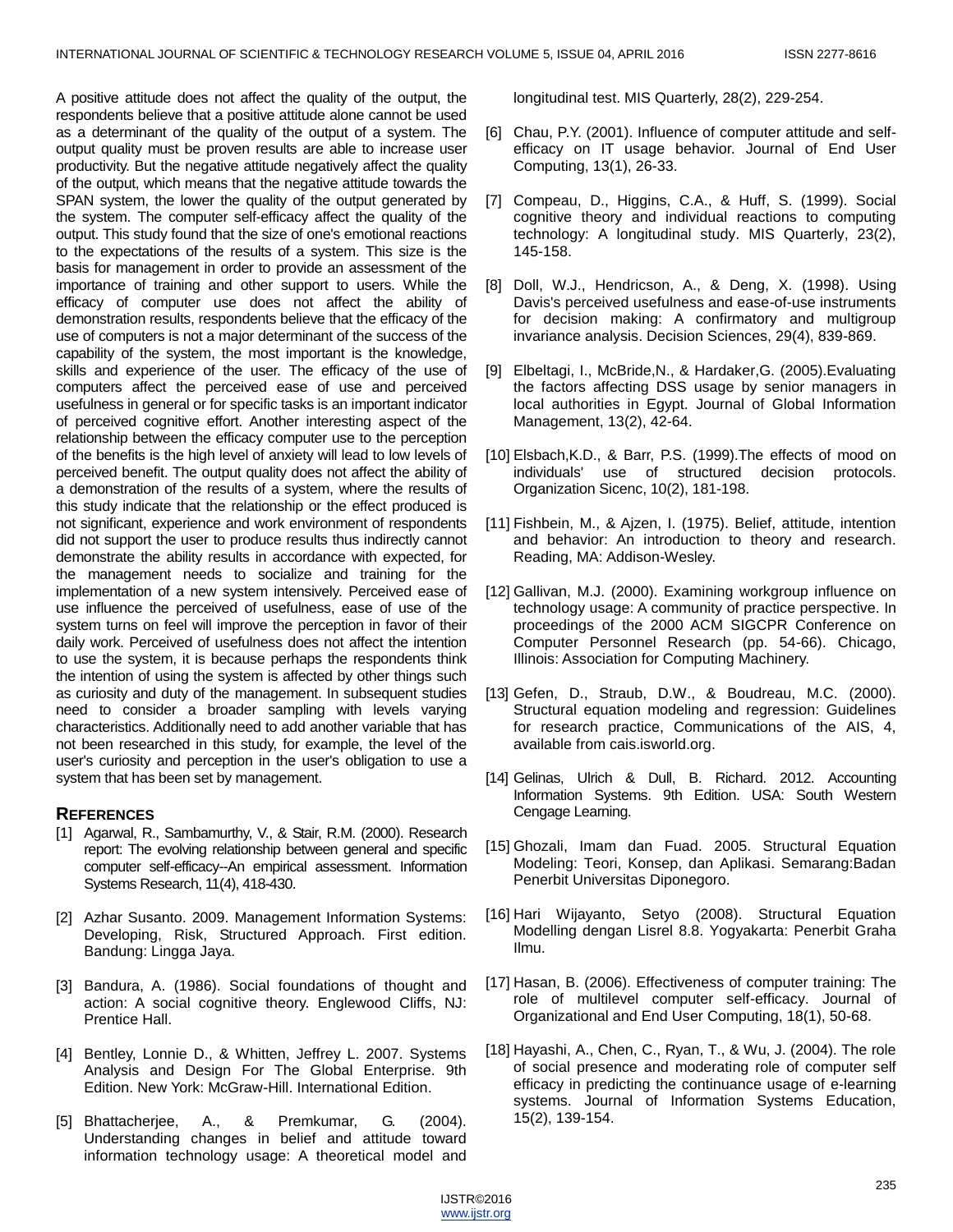A positive attitude does not affect the quality of the output, the respondents believe that a positive attitude alone cannot be used as a determinant of the quality of the output of a system. The output quality must be proven results are able to increase user productivity. But the negative attitude negatively affect the quality of the output, which means that the negative attitude towards the SPAN system, the lower the quality of the output generated by the system. The computer self-efficacy affect the quality of the output. This study found that the size of one's emotional reactions to the expectations of the results of a system. This size is the basis for management in order to provide an assessment of the importance of training and other support to users. While the efficacy of computer use does not affect the ability of demonstration results, respondents believe that the efficacy of the use of computers is not a major determinant of the success of the capability of the system, the most important is the knowledge, skills and experience of the user. The efficacy of the use of computers affect the perceived ease of use and perceived usefulness in general or for specific tasks is an important indicator of perceived cognitive effort. Another interesting aspect of the relationship between the efficacy computer use to the perception of the benefits is the high level of anxiety will lead to low levels of perceived benefit. The output quality does not affect the ability of a demonstration of the results of a system, where the results of this study indicate that the relationship or the effect produced is not significant, experience and work environment of respondents did not support the user to produce results thus indirectly cannot demonstrate the ability results in accordance with expected, for the management needs to socialize and training for the implementation of a new system intensively. Perceived ease of use influence the perceived of usefulness, ease of use of the system turns on feel will improve the perception in favor of their daily work. Perceived of usefulness does not affect the intention to use the system, it is because perhaps the respondents think the intention of using the system is affected by other things such as curiosity and duty of the management. In subsequent studies need to consider a broader sampling with levels varying characteristics. Additionally need to add another variable that has not been researched in this study, for example, the level of the user's curiosity and perception in the user's obligation to use a system that has been set by management.

# **REFERENCES**

- [1] Agarwal, R., Sambamurthy, V., & Stair, R.M. (2000). Research report: The evolving relationship between general and specific computer self-efficacy--An empirical assessment. Information Systems Research, 11(4), 418-430.
- [2] Azhar Susanto. 2009. Management Information Systems: Developing, Risk, Structured Approach. First edition. Bandung: Lingga Jaya.
- [3] Bandura, A. (1986). Social foundations of thought and action: A social cognitive theory. Englewood Cliffs, NJ: Prentice Hall.
- [4] Bentley, Lonnie D., & Whitten, Jeffrey L. 2007. Systems Analysis and Design For The Global Enterprise. 9th Edition. New York: McGraw-Hill. International Edition.
- [5] Bhattacherjee, A., & Premkumar, G. (2004). Understanding changes in belief and attitude toward information technology usage: A theoretical model and

longitudinal test. MIS Quarterly, 28(2), 229-254.

- [6] Chau, P.Y. (2001). Influence of computer attitude and selfefficacy on IT usage behavior. Journal of End User Computing, 13(1), 26-33.
- [7] Compeau, D., Higgins, C.A., & Huff, S. (1999). Social cognitive theory and individual reactions to computing technology: A longitudinal study. MIS Quarterly, 23(2), 145-158.
- [8] Doll, W.J., Hendricson, A., & Deng, X. (1998). Using Davis's perceived usefulness and ease-of-use instruments for decision making: A confirmatory and multigroup invariance analysis. Decision Sciences, 29(4), 839-869.
- [9] Elbeltagi, I., McBride,N., & Hardaker,G. (2005).Evaluating the factors affecting DSS usage by senior managers in local authorities in Egypt. Journal of Global Information Management, 13(2), 42-64.
- [10] Elsbach, K.D., & Barr, P.S. (1999). The effects of mood on individuals' use of structured decision protocols. Organization Sicenc, 10(2), 181-198.
- [11] Fishbein, M., & Ajzen, I. (1975). Belief, attitude, intention and behavior: An introduction to theory and research. Reading, MA: Addison-Wesley.
- [12] Gallivan, M.J. (2000). Examining workgroup influence on technology usage: A community of practice perspective. In proceedings of the 2000 ACM SIGCPR Conference on Computer Personnel Research (pp. 54-66). Chicago, Illinois: Association for Computing Machinery.
- [13] Gefen, D., Straub, D.W., & Boudreau, M.C. (2000). Structural equation modeling and regression: Guidelines for research practice, Communications of the AIS, 4, available from cais.isworld.org.
- [14] Gelinas, Ulrich & Dull, B. Richard. 2012. Accounting Information Systems. 9th Edition. USA: South Western Cengage Learning.
- [15] Ghozali, Imam dan Fuad. 2005. Structural Equation Modeling: Teori, Konsep, dan Aplikasi. Semarang:Badan Penerbit Universitas Diponegoro.
- [16] Hari Wijayanto, Setyo (2008). Structural Equation Modelling dengan Lisrel 8.8. Yogyakarta: Penerbit Graha Ilmu.
- [17] Hasan, B. (2006). Effectiveness of computer training: The role of multilevel computer self-efficacy. Journal of Organizational and End User Computing, 18(1), 50-68.
- [18] Hayashi, A., Chen, C., Ryan, T., & Wu, J. (2004). The role of social presence and moderating role of computer self efficacy in predicting the continuance usage of e-learning systems. Journal of Information Systems Education, 15(2), 139-154.